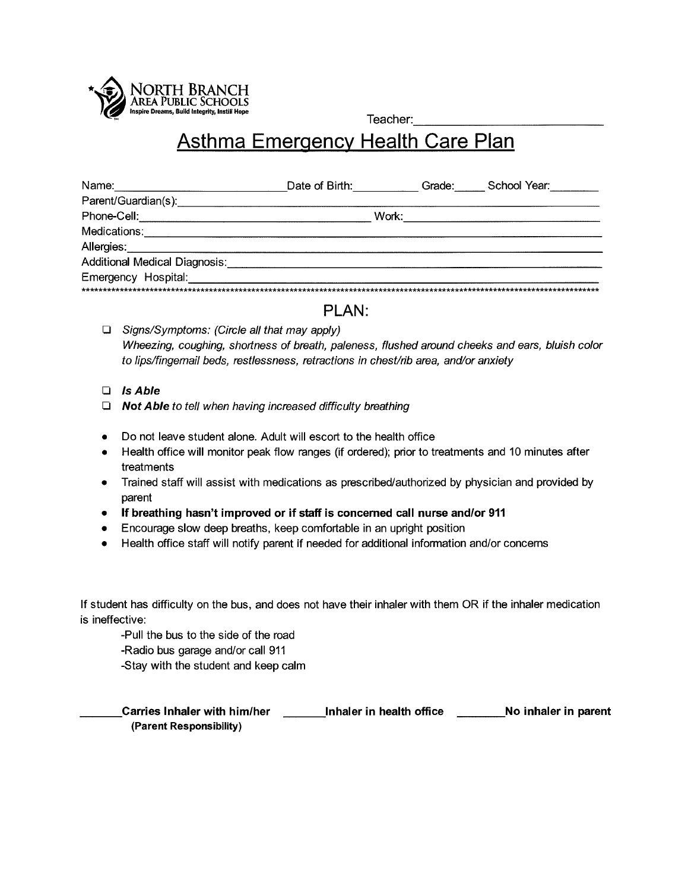

Teacher:

## **Asthma Emergency Health Care Plan**

| Name:                                | Date of Birth: | Grade: | School Year: |
|--------------------------------------|----------------|--------|--------------|
| Parent/Guardian(s):                  |                |        |              |
| Phone-Cell:                          | Work:          |        |              |
| Medications:                         |                |        |              |
| Allergies:                           |                |        |              |
| <b>Additional Medical Diagnosis:</b> |                |        |              |
| Emergency Hospital:                  |                |        |              |
|                                      |                |        |              |

## PLAN:

- $\Box$  Signs/Symptoms: (Circle all that may apply) Wheezing, coughing, shortness of breath, paleness, flushed around cheeks and ears, bluish color to lips/fingemail beds, restlessness, retractions in chest/rib area, and/or anxiety
- $\Box$  Is Able
- $\Box$  Not Able to tell when having increased difficulty breathing
- Do not leave student alone. Adult will escort to the health office
- Health office will monitor peak flow ranges (if ordered); prior to treatments and 10 minutes after treatments
- Trained staff will assist with medications as prescribed/authorized by physician and provided by  $\bullet$ parent
- If breathing hasn't improved or if staff is concerned call nurse and/or 911
- Encourage slow deep breaths, keep comfortable in an upright position
- Health office staff will notify parent if needed for additional information and/or concerns

If student has difficulty on the bus, and does not have their inhaler with them OR if the inhaler medication is ineffective:

-Pull the bus to the side of the road

-Radio bus garage and/or call 911

-Stay with the student and keep calm

Carries Inhaler with him/her \_\_\_\_\_\_\_\_Inhaler in health office \_\_\_\_\_\_\_\_\_No inhaler in parent (Parent Responsibility)